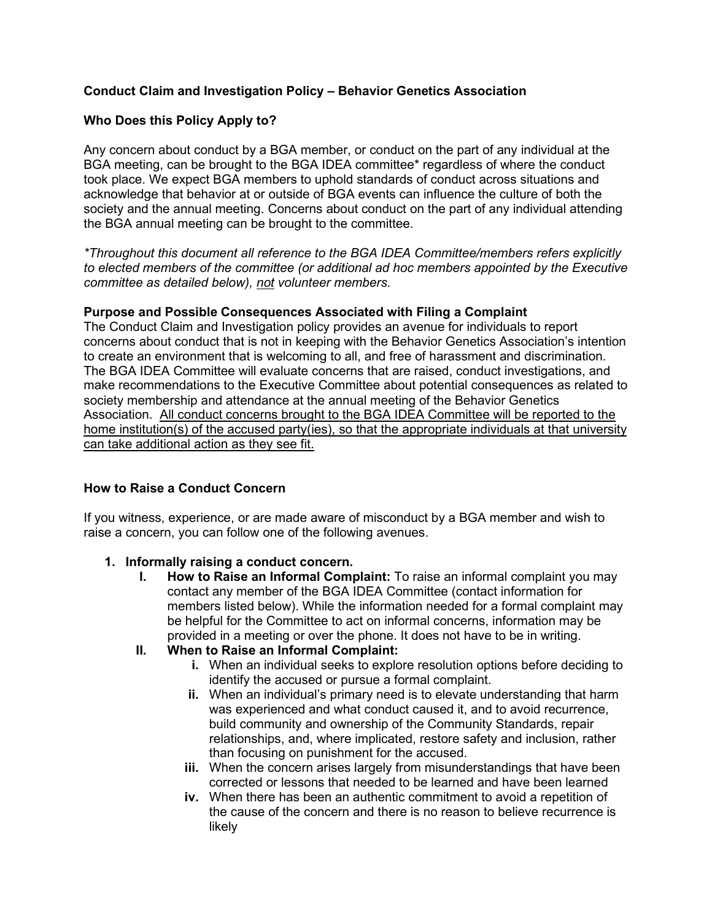### **Conduct Claim and Investigation Policy – Behavior Genetics Association**

### **Who Does this Policy Apply to?**

Any concern about conduct by a BGA member, or conduct on the part of any individual at the BGA meeting, can be brought to the BGA IDEA committee\* regardless of where the conduct took place. We expect BGA members to uphold standards of conduct across situations and acknowledge that behavior at or outside of BGA events can influence the culture of both the society and the annual meeting. Concerns about conduct on the part of any individual attending the BGA annual meeting can be brought to the committee.

*\*Throughout this document all reference to the BGA IDEA Committee/members refers explicitly to elected members of the committee (or additional ad hoc members appointed by the Executive committee as detailed below), not volunteer members.*

#### **Purpose and Possible Consequences Associated with Filing a Complaint**

The Conduct Claim and Investigation policy provides an avenue for individuals to report concerns about conduct that is not in keeping with the Behavior Genetics Association's intention to create an environment that is welcoming to all, and free of harassment and discrimination. The BGA IDEA Committee will evaluate concerns that are raised, conduct investigations, and make recommendations to the Executive Committee about potential consequences as related to society membership and attendance at the annual meeting of the Behavior Genetics Association. All conduct concerns brought to the BGA IDEA Committee will be reported to the home institution(s) of the accused party(ies), so that the appropriate individuals at that university can take additional action as they see fit.

#### **How to Raise a Conduct Concern**

If you witness, experience, or are made aware of misconduct by a BGA member and wish to raise a concern, you can follow one of the following avenues.

#### **1. Informally raising a conduct concern.**

**I. How to Raise an Informal Complaint:** To raise an informal complaint you may contact any member of the BGA IDEA Committee (contact information for members listed below). While the information needed for a formal complaint may be helpful for the Committee to act on informal concerns, information may be provided in a meeting or over the phone. It does not have to be in writing.

## **II. When to Raise an Informal Complaint:**

- **i.** When an individual seeks to explore resolution options before deciding to identify the accused or pursue a formal complaint.
- **ii.** When an individual's primary need is to elevate understanding that harm was experienced and what conduct caused it, and to avoid recurrence, build community and ownership of the Community Standards, repair relationships, and, where implicated, restore safety and inclusion, rather than focusing on punishment for the accused.
- **iii.** When the concern arises largely from misunderstandings that have been corrected or lessons that needed to be learned and have been learned
- **iv.** When there has been an authentic commitment to avoid a repetition of the cause of the concern and there is no reason to believe recurrence is likely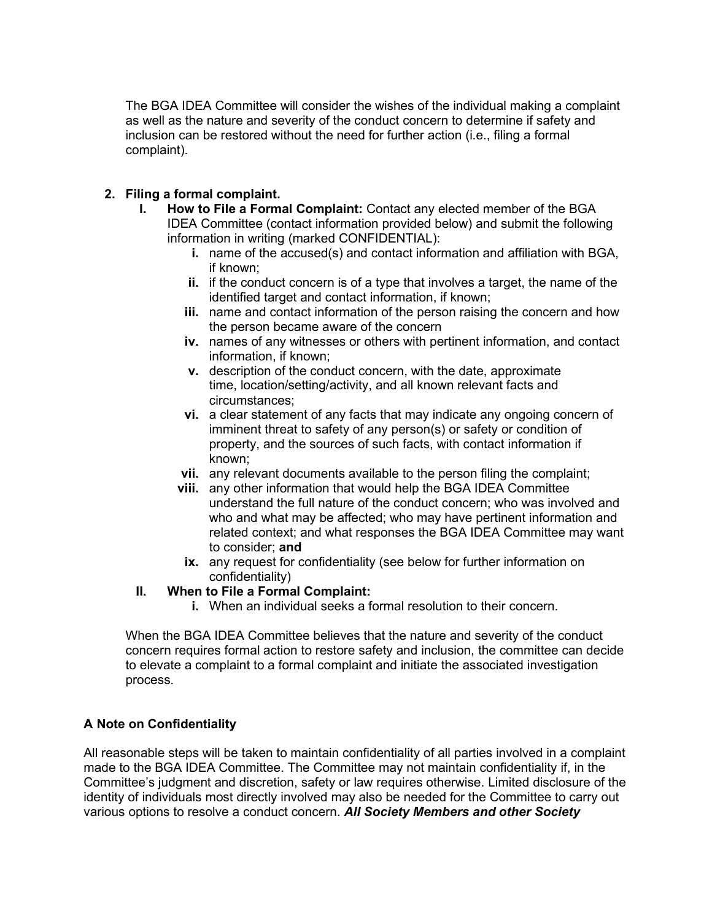The BGA IDEA Committee will consider the wishes of the individual making a complaint as well as the nature and severity of the conduct concern to determine if safety and inclusion can be restored without the need for further action (i.e., filing a formal complaint).

## **2. Filing a formal complaint.**

- **I. How to File a Formal Complaint:** Contact any elected member of the BGA IDEA Committee (contact information provided below) and submit the following information in writing (marked CONFIDENTIAL):
	- **i.** name of the accused(s) and contact information and affiliation with BGA, if known;
	- **ii.** if the conduct concern is of a type that involves a target, the name of the identified target and contact information, if known;
	- **iii.** name and contact information of the person raising the concern and how the person became aware of the concern
	- **iv.** names of any witnesses or others with pertinent information, and contact information, if known;
	- **v.** description of the conduct concern, with the date, approximate time, location/setting/activity, and all known relevant facts and circumstances;
	- **vi.** a clear statement of any facts that may indicate any ongoing concern of imminent threat to safety of any person(s) or safety or condition of property, and the sources of such facts, with contact information if known;
	- **vii.** any relevant documents available to the person filing the complaint;
	- **viii.** any other information that would help the BGA IDEA Committee understand the full nature of the conduct concern; who was involved and who and what may be affected; who may have pertinent information and related context; and what responses the BGA IDEA Committee may want to consider; **and**
	- **ix.** any request for confidentiality (see below for further information on confidentiality)

#### **II. When to File a Formal Complaint:**

**i.** When an individual seeks a formal resolution to their concern.

When the BGA IDEA Committee believes that the nature and severity of the conduct concern requires formal action to restore safety and inclusion, the committee can decide to elevate a complaint to a formal complaint and initiate the associated investigation process.

#### **A Note on Confidentiality**

All reasonable steps will be taken to maintain confidentiality of all parties involved in a complaint made to the BGA IDEA Committee. The Committee may not maintain confidentiality if, in the Committee's judgment and discretion, safety or law requires otherwise. Limited disclosure of the identity of individuals most directly involved may also be needed for the Committee to carry out various options to resolve a conduct concern. *All Society Members and other Society*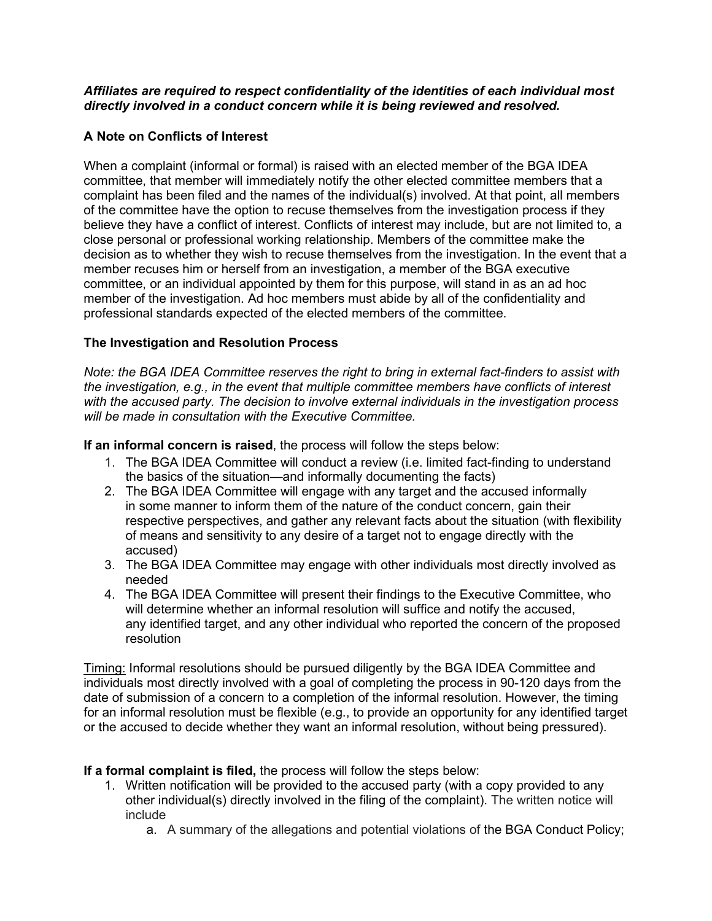#### *Affiliates are required to respect confidentiality of the identities of each individual most directly involved in a conduct concern while it is being reviewed and resolved.*

## **A Note on Conflicts of Interest**

When a complaint (informal or formal) is raised with an elected member of the BGA IDEA committee, that member will immediately notify the other elected committee members that a complaint has been filed and the names of the individual(s) involved. At that point, all members of the committee have the option to recuse themselves from the investigation process if they believe they have a conflict of interest. Conflicts of interest may include, but are not limited to, a close personal or professional working relationship. Members of the committee make the decision as to whether they wish to recuse themselves from the investigation. In the event that a member recuses him or herself from an investigation, a member of the BGA executive committee, or an individual appointed by them for this purpose, will stand in as an ad hoc member of the investigation. Ad hoc members must abide by all of the confidentiality and professional standards expected of the elected members of the committee.

#### **The Investigation and Resolution Process**

*Note: the BGA IDEA Committee reserves the right to bring in external fact-finders to assist with the investigation, e.g., in the event that multiple committee members have conflicts of interest with the accused party. The decision to involve external individuals in the investigation process will be made in consultation with the Executive Committee.* 

**If an informal concern is raised**, the process will follow the steps below:

- 1. The BGA IDEA Committee will conduct a review (i.e. limited fact-finding to understand the basics of the situation—and informally documenting the facts)
- 2. The BGA IDEA Committee will engage with any target and the accused informally in some manner to inform them of the nature of the conduct concern, gain their respective perspectives, and gather any relevant facts about the situation (with flexibility of means and sensitivity to any desire of a target not to engage directly with the accused)
- 3. The BGA IDEA Committee may engage with other individuals most directly involved as needed
- 4. The BGA IDEA Committee will present their findings to the Executive Committee, who will determine whether an informal resolution will suffice and notify the accused, any identified target, and any other individual who reported the concern of the proposed resolution

Timing: Informal resolutions should be pursued diligently by the BGA IDEA Committee and individuals most directly involved with a goal of completing the process in 90-120 days from the date of submission of a concern to a completion of the informal resolution. However, the timing for an informal resolution must be flexible (e.g., to provide an opportunity for any identified target or the accused to decide whether they want an informal resolution, without being pressured).

#### **If a formal complaint is filed,** the process will follow the steps below:

- 1. Written notification will be provided to the accused party (with a copy provided to any other individual(s) directly involved in the filing of the complaint). The written notice will include
	- a. A summary of the allegations and potential violations of the BGA Conduct Policy;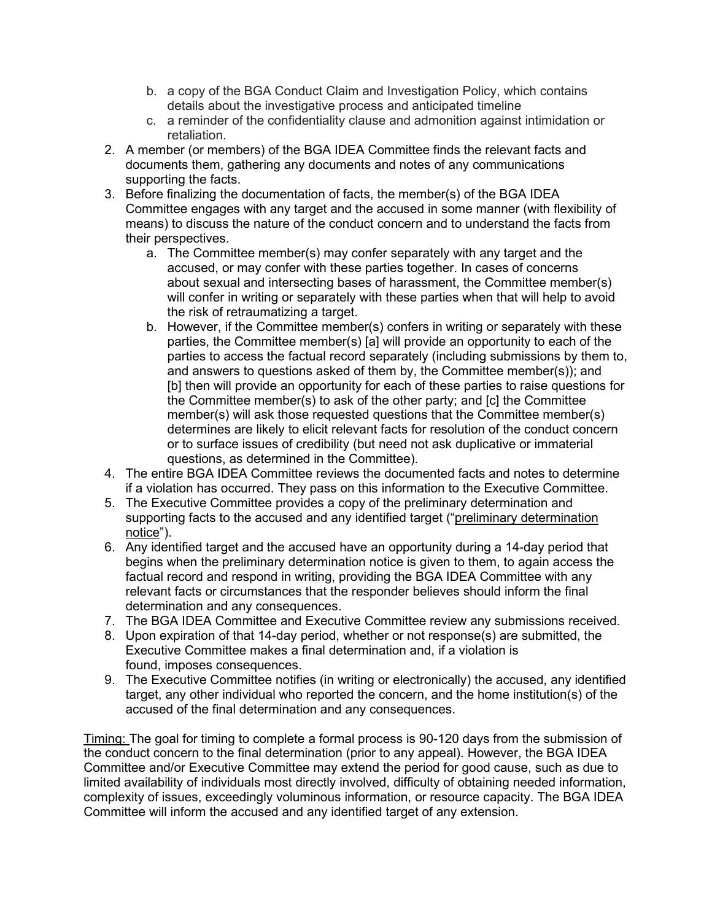- b. a copy of the BGA Conduct Claim and Investigation Policy, which contains details about the investigative process and anticipated timeline
- c. a reminder of the confidentiality clause and admonition against intimidation or retaliation.
- 2. A member (or members) of the BGA IDEA Committee finds the relevant facts and documents them, gathering any documents and notes of any communications supporting the facts.
- 3. Before finalizing the documentation of facts, the member(s) of the BGA IDEA Committee engages with any target and the accused in some manner (with flexibility of means) to discuss the nature of the conduct concern and to understand the facts from their perspectives.
	- a. The Committee member(s) may confer separately with any target and the accused, or may confer with these parties together. In cases of concerns about sexual and intersecting bases of harassment, the Committee member(s) will confer in writing or separately with these parties when that will help to avoid the risk of retraumatizing a target.
	- b. However, if the Committee member(s) confers in writing or separately with these parties, the Committee member(s) [a] will provide an opportunity to each of the parties to access the factual record separately (including submissions by them to, and answers to questions asked of them by, the Committee member(s)); and [b] then will provide an opportunity for each of these parties to raise questions for the Committee member(s) to ask of the other party; and [c] the Committee member(s) will ask those requested questions that the Committee member(s) determines are likely to elicit relevant facts for resolution of the conduct concern or to surface issues of credibility (but need not ask duplicative or immaterial questions, as determined in the Committee).
- 4. The entire BGA IDEA Committee reviews the documented facts and notes to determine if a violation has occurred. They pass on this information to the Executive Committee.
- 5. The Executive Committee provides a copy of the preliminary determination and supporting facts to the accused and any identified target ("preliminary determination notice").
- 6. Any identified target and the accused have an opportunity during a 14-day period that begins when the preliminary determination notice is given to them, to again access the factual record and respond in writing, providing the BGA IDEA Committee with any relevant facts or circumstances that the responder believes should inform the final determination and any consequences.
- 7. The BGA IDEA Committee and Executive Committee review any submissions received.
- 8. Upon expiration of that 14-day period, whether or not response(s) are submitted, the Executive Committee makes a final determination and, if a violation is found, imposes consequences.
- 9. The Executive Committee notifies (in writing or electronically) the accused, any identified target, any other individual who reported the concern, and the home institution(s) of the accused of the final determination and any consequences.

Timing: The goal for timing to complete a formal process is 90-120 days from the submission of the conduct concern to the final determination (prior to any appeal). However, the BGA IDEA Committee and/or Executive Committee may extend the period for good cause, such as due to limited availability of individuals most directly involved, difficulty of obtaining needed information, complexity of issues, exceedingly voluminous information, or resource capacity. The BGA IDEA Committee will inform the accused and any identified target of any extension.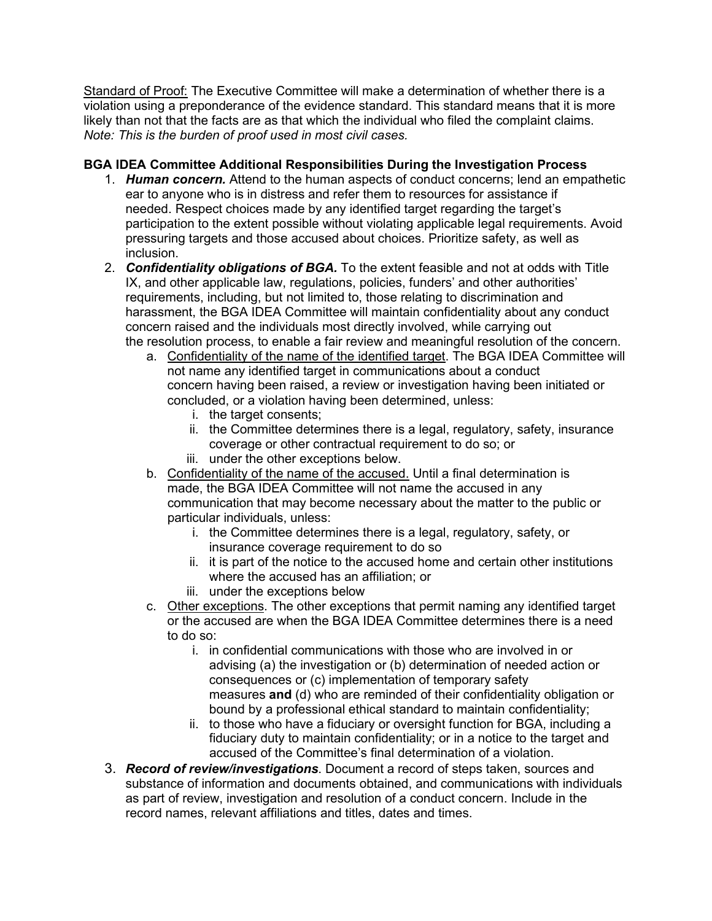Standard of Proof: The Executive Committee will make a determination of whether there is a violation using a preponderance of the evidence standard. This standard means that it is more likely than not that the facts are as that which the individual who filed the complaint claims. *Note: This is the burden of proof used in most civil cases.*

## **BGA IDEA Committee Additional Responsibilities During the Investigation Process**

- 1. *Human concern.* Attend to the human aspects of conduct concerns; lend an empathetic ear to anyone who is in distress and refer them to resources for assistance if needed. Respect choices made by any identified target regarding the target's participation to the extent possible without violating applicable legal requirements. Avoid pressuring targets and those accused about choices. Prioritize safety, as well as inclusion.
- 2. *Confidentiality obligations of BGA.* To the extent feasible and not at odds with Title IX, and other applicable law, regulations, policies, funders' and other authorities' requirements, including, but not limited to, those relating to discrimination and harassment, the BGA IDEA Committee will maintain confidentiality about any conduct concern raised and the individuals most directly involved, while carrying out the resolution process, to enable a fair review and meaningful resolution of the concern.
	- a. Confidentiality of the name of the identified target. The BGA IDEA Committee will not name any identified target in communications about a conduct concern having been raised, a review or investigation having been initiated or concluded, or a violation having been determined, unless:
		- i. the target consents;
		- ii. the Committee determines there is a legal, regulatory, safety, insurance coverage or other contractual requirement to do so; or
		- iii. under the other exceptions below.
	- b. Confidentiality of the name of the accused. Until a final determination is made, the BGA IDEA Committee will not name the accused in any communication that may become necessary about the matter to the public or particular individuals, unless:
		- i. the Committee determines there is a legal, regulatory, safety, or insurance coverage requirement to do so
		- ii. it is part of the notice to the accused home and certain other institutions where the accused has an affiliation; or
		- iii. under the exceptions below
	- c. Other exceptions. The other exceptions that permit naming any identified target or the accused are when the BGA IDEA Committee determines there is a need to do so:
		- i. in confidential communications with those who are involved in or advising (a) the investigation or (b) determination of needed action or consequences or (c) implementation of temporary safety measures **and** (d) who are reminded of their confidentiality obligation or bound by a professional ethical standard to maintain confidentiality;
		- ii. to those who have a fiduciary or oversight function for BGA, including a fiduciary duty to maintain confidentiality; or in a notice to the target and accused of the Committee's final determination of a violation.
- 3. *Record of review/investigations*. Document a record of steps taken, sources and substance of information and documents obtained, and communications with individuals as part of review, investigation and resolution of a conduct concern. Include in the record names, relevant affiliations and titles, dates and times.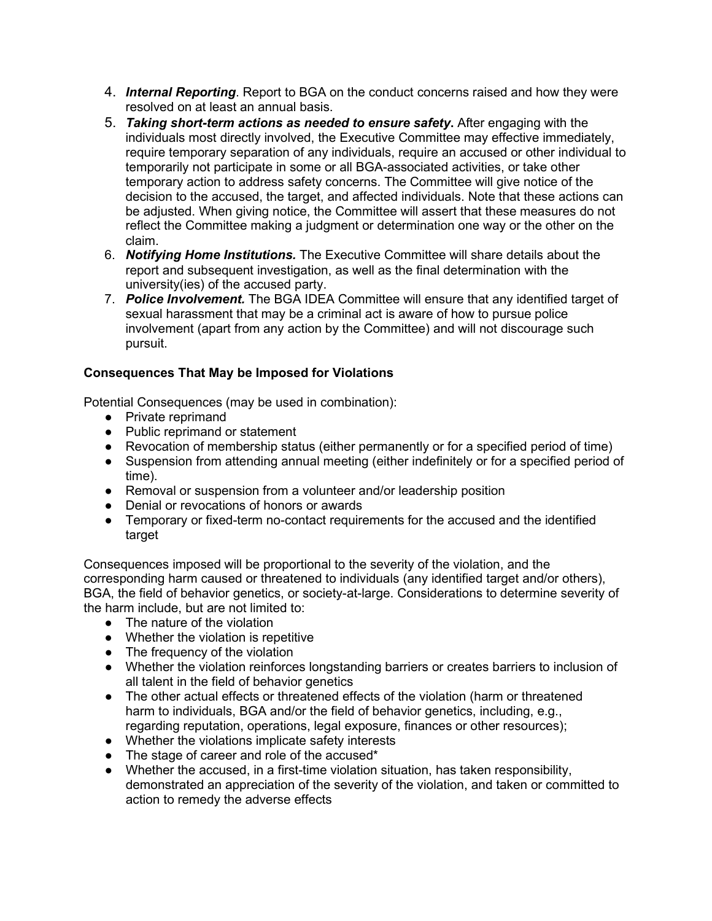- 4. *Internal Reporting*. Report to BGA on the conduct concerns raised and how they were resolved on at least an annual basis.
- 5. *Taking short-term actions as needed to ensure safety***.** After engaging with the individuals most directly involved, the Executive Committee may effective immediately, require temporary separation of any individuals, require an accused or other individual to temporarily not participate in some or all BGA-associated activities, or take other temporary action to address safety concerns. The Committee will give notice of the decision to the accused, the target, and affected individuals. Note that these actions can be adjusted. When giving notice, the Committee will assert that these measures do not reflect the Committee making a judgment or determination one way or the other on the claim.
- 6. *Notifying Home Institutions.* The Executive Committee will share details about the report and subsequent investigation, as well as the final determination with the university(ies) of the accused party.
- 7. *Police Involvement.* The BGA IDEA Committee will ensure that any identified target of sexual harassment that may be a criminal act is aware of how to pursue police involvement (apart from any action by the Committee) and will not discourage such pursuit.

# **Consequences That May be Imposed for Violations**

Potential Consequences (may be used in combination):

- Private reprimand
- Public reprimand or statement
- Revocation of membership status (either permanently or for a specified period of time)
- Suspension from attending annual meeting (either indefinitely or for a specified period of time).
- Removal or suspension from a volunteer and/or leadership position
- Denial or revocations of honors or awards
- Temporary or fixed-term no-contact requirements for the accused and the identified target

Consequences imposed will be proportional to the severity of the violation, and the corresponding harm caused or threatened to individuals (any identified target and/or others), BGA, the field of behavior genetics, or society-at-large. Considerations to determine severity of the harm include, but are not limited to:

- The nature of the violation
- Whether the violation is repetitive
- The frequency of the violation
- Whether the violation reinforces longstanding barriers or creates barriers to inclusion of all talent in the field of behavior genetics
- The other actual effects or threatened effects of the violation (harm or threatened harm to individuals, BGA and/or the field of behavior genetics, including, e.g., regarding reputation, operations, legal exposure, finances or other resources);
- Whether the violations implicate safety interests
- The stage of career and role of the accused\*
- Whether the accused, in a first-time violation situation, has taken responsibility, demonstrated an appreciation of the severity of the violation, and taken or committed to action to remedy the adverse effects